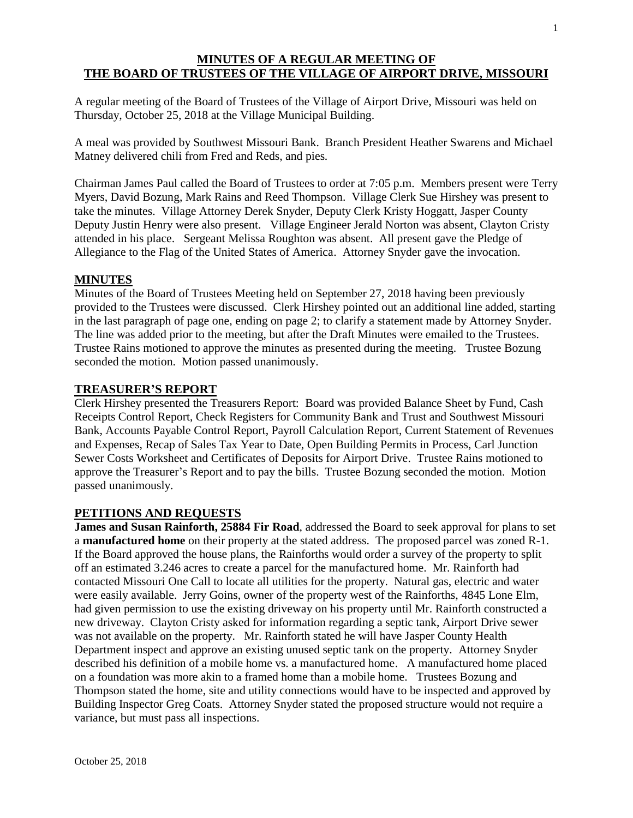# **MINUTES OF A REGULAR MEETING OF THE BOARD OF TRUSTEES OF THE VILLAGE OF AIRPORT DRIVE, MISSOURI**

A regular meeting of the Board of Trustees of the Village of Airport Drive, Missouri was held on Thursday, October 25, 2018 at the Village Municipal Building.

A meal was provided by Southwest Missouri Bank. Branch President Heather Swarens and Michael Matney delivered chili from Fred and Reds, and pies.

Chairman James Paul called the Board of Trustees to order at 7:05 p.m. Members present were Terry Myers, David Bozung, Mark Rains and Reed Thompson. Village Clerk Sue Hirshey was present to take the minutes. Village Attorney Derek Snyder, Deputy Clerk Kristy Hoggatt, Jasper County Deputy Justin Henry were also present. Village Engineer Jerald Norton was absent, Clayton Cristy attended in his place. Sergeant Melissa Roughton was absent. All present gave the Pledge of Allegiance to the Flag of the United States of America. Attorney Snyder gave the invocation.

## **MINUTES**

Minutes of the Board of Trustees Meeting held on September 27, 2018 having been previously provided to the Trustees were discussed. Clerk Hirshey pointed out an additional line added, starting in the last paragraph of page one, ending on page 2; to clarify a statement made by Attorney Snyder. The line was added prior to the meeting, but after the Draft Minutes were emailed to the Trustees. Trustee Rains motioned to approve the minutes as presented during the meeting. Trustee Bozung seconded the motion. Motion passed unanimously.

### **TREASURER'S REPORT**

Clerk Hirshey presented the Treasurers Report: Board was provided Balance Sheet by Fund, Cash Receipts Control Report, Check Registers for Community Bank and Trust and Southwest Missouri Bank, Accounts Payable Control Report, Payroll Calculation Report, Current Statement of Revenues and Expenses, Recap of Sales Tax Year to Date, Open Building Permits in Process, Carl Junction Sewer Costs Worksheet and Certificates of Deposits for Airport Drive. Trustee Rains motioned to approve the Treasurer's Report and to pay the bills. Trustee Bozung seconded the motion. Motion passed unanimously.

## **PETITIONS AND REQUESTS**

**James and Susan Rainforth, 25884 Fir Road**, addressed the Board to seek approval for plans to set a **manufactured home** on their property at the stated address. The proposed parcel was zoned R-1. If the Board approved the house plans, the Rainforths would order a survey of the property to split off an estimated 3.246 acres to create a parcel for the manufactured home. Mr. Rainforth had contacted Missouri One Call to locate all utilities for the property. Natural gas, electric and water were easily available. Jerry Goins, owner of the property west of the Rainforths, 4845 Lone Elm, had given permission to use the existing driveway on his property until Mr. Rainforth constructed a new driveway. Clayton Cristy asked for information regarding a septic tank, Airport Drive sewer was not available on the property. Mr. Rainforth stated he will have Jasper County Health Department inspect and approve an existing unused septic tank on the property. Attorney Snyder described his definition of a mobile home vs. a manufactured home. A manufactured home placed on a foundation was more akin to a framed home than a mobile home. Trustees Bozung and Thompson stated the home, site and utility connections would have to be inspected and approved by Building Inspector Greg Coats. Attorney Snyder stated the proposed structure would not require a variance, but must pass all inspections.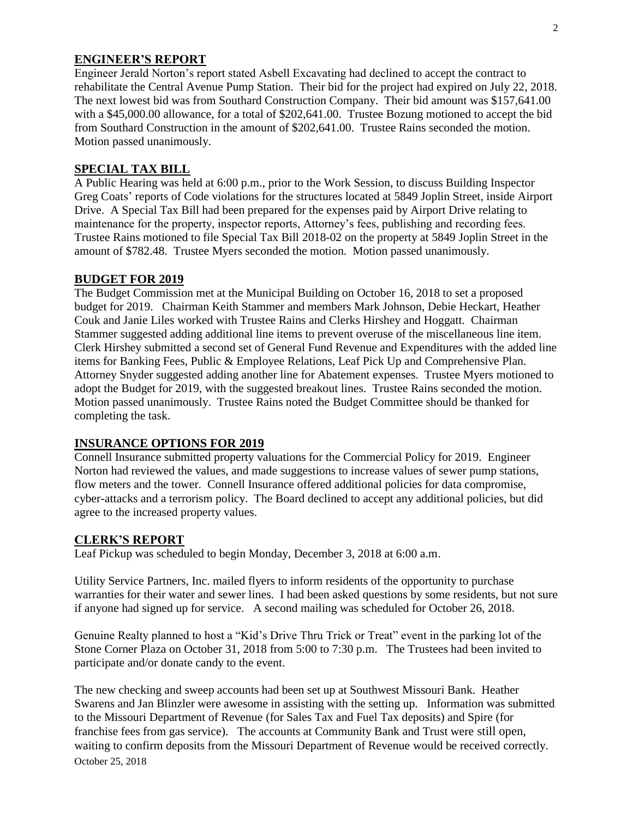## **ENGINEER'S REPORT**

Engineer Jerald Norton's report stated Asbell Excavating had declined to accept the contract to rehabilitate the Central Avenue Pump Station. Their bid for the project had expired on July 22, 2018. The next lowest bid was from Southard Construction Company. Their bid amount was \$157,641.00 with a \$45,000.00 allowance, for a total of \$202,641.00. Trustee Bozung motioned to accept the bid from Southard Construction in the amount of \$202,641.00. Trustee Rains seconded the motion. Motion passed unanimously.

### **SPECIAL TAX BILL**

A Public Hearing was held at 6:00 p.m., prior to the Work Session, to discuss Building Inspector Greg Coats' reports of Code violations for the structures located at 5849 Joplin Street, inside Airport Drive. A Special Tax Bill had been prepared for the expenses paid by Airport Drive relating to maintenance for the property, inspector reports, Attorney's fees, publishing and recording fees. Trustee Rains motioned to file Special Tax Bill 2018-02 on the property at 5849 Joplin Street in the amount of \$782.48. Trustee Myers seconded the motion. Motion passed unanimously.

#### **BUDGET FOR 2019**

The Budget Commission met at the Municipal Building on October 16, 2018 to set a proposed budget for 2019. Chairman Keith Stammer and members Mark Johnson, Debie Heckart, Heather Couk and Janie Liles worked with Trustee Rains and Clerks Hirshey and Hoggatt. Chairman Stammer suggested adding additional line items to prevent overuse of the miscellaneous line item. Clerk Hirshey submitted a second set of General Fund Revenue and Expenditures with the added line items for Banking Fees, Public & Employee Relations, Leaf Pick Up and Comprehensive Plan. Attorney Snyder suggested adding another line for Abatement expenses. Trustee Myers motioned to adopt the Budget for 2019, with the suggested breakout lines. Trustee Rains seconded the motion. Motion passed unanimously. Trustee Rains noted the Budget Committee should be thanked for completing the task.

### **INSURANCE OPTIONS FOR 2019**

Connell Insurance submitted property valuations for the Commercial Policy for 2019. Engineer Norton had reviewed the values, and made suggestions to increase values of sewer pump stations, flow meters and the tower. Connell Insurance offered additional policies for data compromise, cyber-attacks and a terrorism policy. The Board declined to accept any additional policies, but did agree to the increased property values.

## **CLERK'S REPORT**

Leaf Pickup was scheduled to begin Monday, December 3, 2018 at 6:00 a.m.

Utility Service Partners, Inc. mailed flyers to inform residents of the opportunity to purchase warranties for their water and sewer lines. I had been asked questions by some residents, but not sure if anyone had signed up for service. A second mailing was scheduled for October 26, 2018.

Genuine Realty planned to host a "Kid's Drive Thru Trick or Treat" event in the parking lot of the Stone Corner Plaza on October 31, 2018 from 5:00 to 7:30 p.m. The Trustees had been invited to participate and/or donate candy to the event.

October 25, 2018 The new checking and sweep accounts had been set up at Southwest Missouri Bank. Heather Swarens and Jan Blinzler were awesome in assisting with the setting up. Information was submitted to the Missouri Department of Revenue (for Sales Tax and Fuel Tax deposits) and Spire (for franchise fees from gas service). The accounts at Community Bank and Trust were still open, waiting to confirm deposits from the Missouri Department of Revenue would be received correctly.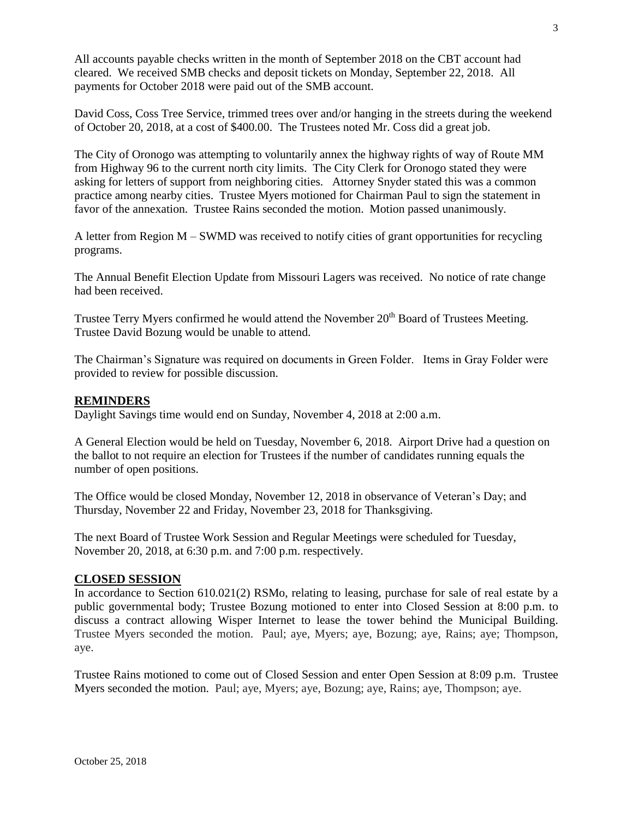All accounts payable checks written in the month of September 2018 on the CBT account had cleared. We received SMB checks and deposit tickets on Monday, September 22, 2018. All payments for October 2018 were paid out of the SMB account.

David Coss, Coss Tree Service, trimmed trees over and/or hanging in the streets during the weekend of October 20, 2018, at a cost of \$400.00. The Trustees noted Mr. Coss did a great job.

The City of Oronogo was attempting to voluntarily annex the highway rights of way of Route MM from Highway 96 to the current north city limits. The City Clerk for Oronogo stated they were asking for letters of support from neighboring cities. Attorney Snyder stated this was a common practice among nearby cities. Trustee Myers motioned for Chairman Paul to sign the statement in favor of the annexation. Trustee Rains seconded the motion. Motion passed unanimously.

A letter from Region M – SWMD was received to notify cities of grant opportunities for recycling programs.

The Annual Benefit Election Update from Missouri Lagers was received. No notice of rate change had been received.

Trustee Terry Myers confirmed he would attend the November 20<sup>th</sup> Board of Trustees Meeting. Trustee David Bozung would be unable to attend.

The Chairman's Signature was required on documents in Green Folder. Items in Gray Folder were provided to review for possible discussion.

### **REMINDERS**

Daylight Savings time would end on Sunday, November 4, 2018 at 2:00 a.m.

A General Election would be held on Tuesday, November 6, 2018. Airport Drive had a question on the ballot to not require an election for Trustees if the number of candidates running equals the number of open positions.

The Office would be closed Monday, November 12, 2018 in observance of Veteran's Day; and Thursday, November 22 and Friday, November 23, 2018 for Thanksgiving.

The next Board of Trustee Work Session and Regular Meetings were scheduled for Tuesday, November 20, 2018, at 6:30 p.m. and 7:00 p.m. respectively.

### **CLOSED SESSION**

In accordance to Section 610.021(2) RSMo, relating to leasing, purchase for sale of real estate by a public governmental body; Trustee Bozung motioned to enter into Closed Session at 8:00 p.m. to discuss a contract allowing Wisper Internet to lease the tower behind the Municipal Building. Trustee Myers seconded the motion. Paul; aye, Myers; aye, Bozung; aye, Rains; aye; Thompson, aye.

Trustee Rains motioned to come out of Closed Session and enter Open Session at 8:09 p.m. Trustee Myers seconded the motion. Paul; aye, Myers; aye, Bozung; aye, Rains; aye, Thompson; aye.